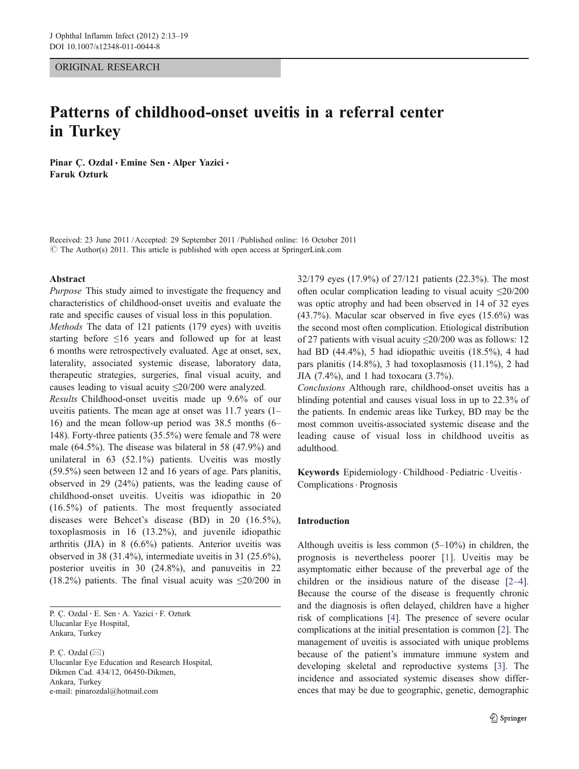# ORIGINAL RESEARCH

# Patterns of childhood-onset uveitis in a referral center in Turkey

Pinar Ç. Ozdal · Emine Sen · Alper Yazici · Faruk Ozturk

Received: 23 June 2011 /Accepted: 29 September 2011 / Published online: 16 October 2011  $\odot$  The Author(s) 2011. This article is published with open access at SpringerLink.com

#### Abstract

Purpose This study aimed to investigate the frequency and characteristics of childhood-onset uveitis and evaluate the rate and specific causes of visual loss in this population.

Methods The data of 121 patients (179 eyes) with uveitis starting before ≤16 years and followed up for at least 6 months were retrospectively evaluated. Age at onset, sex, laterality, associated systemic disease, laboratory data, therapeutic strategies, surgeries, final visual acuity, and causes leading to visual acuity  $\leq 20/200$  were analyzed.

Results Childhood-onset uveitis made up 9.6% of our uveitis patients. The mean age at onset was 11.7 years (1– 16) and the mean follow-up period was 38.5 months (6– 148). Forty-three patients (35.5%) were female and 78 were male (64.5%). The disease was bilateral in 58 (47.9%) and unilateral in 63 (52.1%) patients. Uveitis was mostly (59.5%) seen between 12 and 16 years of age. Pars planitis, observed in 29 (24%) patients, was the leading cause of childhood-onset uveitis. Uveitis was idiopathic in 20 (16.5%) of patients. The most frequently associated diseases were Behcet's disease (BD) in 20 (16.5%), toxoplasmosis in 16 (13.2%), and juvenile idiopathic arthritis (JIA) in 8 (6.6%) patients. Anterior uveitis was observed in 38 (31.4%), intermediate uveitis in 31 (25.6%), posterior uveitis in 30 (24.8%), and panuveitis in 22 (18.2%) patients. The final visual acuity was  $\leq$ 20/200 in

P. Ç. Ozdal : E. Sen : A. Yazici : F. Ozturk Ulucanlar Eye Hospital, Ankara, Turkey

P. C. Ozdal  $(\boxtimes)$ Ulucanlar Eye Education and Research Hospital, Dikmen Cad. 434/12, 06450-Dikmen, Ankara, Turkey e-mail: pinarozdal@hotmail.com

32/179 eyes (17.9%) of 27/121 patients (22.3%). The most often ocular complication leading to visual acuity ≤20/200 was optic atrophy and had been observed in 14 of 32 eyes  $(43.7\%)$ . Macular scar observed in five eyes  $(15.6\%)$  was the second most often complication. Etiological distribution of 27 patients with visual acuity ≤20/200 was as follows: 12 had BD (44.4%), 5 had idiopathic uveitis (18.5%), 4 had pars planitis  $(14.8\%)$ , 3 had toxoplasmosis  $(11.1\%)$ , 2 had JIA (7.4%), and 1 had toxocara (3.7%).

Conclusions Although rare, childhood-onset uveitis has a blinding potential and causes visual loss in up to 22.3% of the patients. In endemic areas like Turkey, BD may be the most common uveitis-associated systemic disease and the leading cause of visual loss in childhood uveitis as adulthood.

Keywords Epidemiology. Childhood . Pediatric . Uveitis. Complications. Prognosis

## Introduction

Although uveitis is less common (5–10%) in children, the prognosis is nevertheless poorer [[1](#page-5-0)]. Uveitis may be asymptomatic either because of the preverbal age of the children or the insidious nature of the disease [\[2](#page-5-0)–[4](#page-5-0)]. Because the course of the disease is frequently chronic and the diagnosis is often delayed, children have a higher risk of complications [[4\]](#page-5-0). The presence of severe ocular complications at the initial presentation is common [\[2](#page-5-0)]. The management of uveitis is associated with unique problems because of the patient's immature immune system and developing skeletal and reproductive systems [[3\]](#page-5-0). The incidence and associated systemic diseases show differences that may be due to geographic, genetic, demographic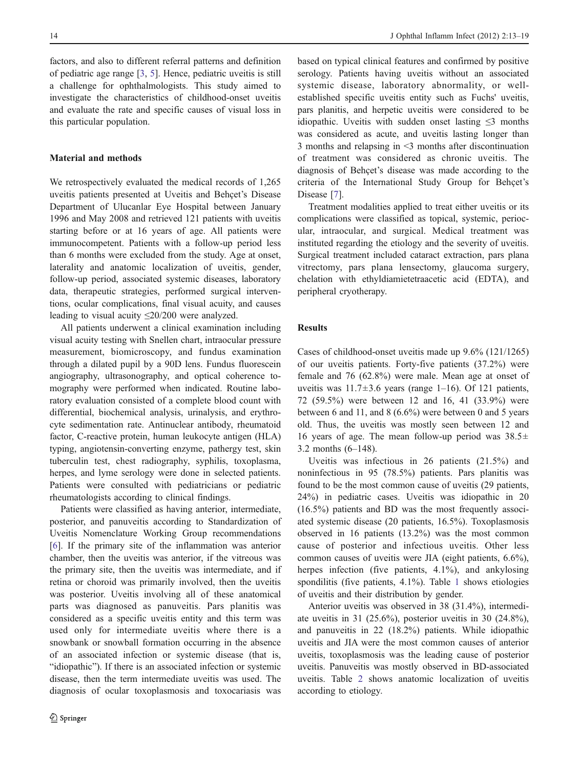factors, and also to different referral patterns and definition of pediatric age range [\[3,](#page-5-0) [5](#page-5-0)]. Hence, pediatric uveitis is still a challenge for ophthalmologists. This study aimed to investigate the characteristics of childhood-onset uveitis and evaluate the rate and specific causes of visual loss in this particular population.

## Material and methods

We retrospectively evaluated the medical records of 1,265 uveitis patients presented at Uveitis and Behçet's Disease Department of Ulucanlar Eye Hospital between January 1996 and May 2008 and retrieved 121 patients with uveitis starting before or at 16 years of age. All patients were immunocompetent. Patients with a follow-up period less than 6 months were excluded from the study. Age at onset, laterality and anatomic localization of uveitis, gender, follow-up period, associated systemic diseases, laboratory data, therapeutic strategies, performed surgical interventions, ocular complications, final visual acuity, and causes leading to visual acuity ≤20/200 were analyzed.

All patients underwent a clinical examination including visual acuity testing with Snellen chart, intraocular pressure measurement, biomicroscopy, and fundus examination through a dilated pupil by a 90D lens. Fundus fluorescein angiography, ultrasonography, and optical coherence tomography were performed when indicated. Routine laboratory evaluation consisted of a complete blood count with differential, biochemical analysis, urinalysis, and erythrocyte sedimentation rate. Antinuclear antibody, rheumatoid factor, C-reactive protein, human leukocyte antigen (HLA) typing, angiotensin-converting enzyme, pathergy test, skin tuberculin test, chest radiography, syphilis, toxoplasma, herpes, and lyme serology were done in selected patients. Patients were consulted with pediatricians or pediatric rheumatologists according to clinical findings.

Patients were classified as having anterior, intermediate, posterior, and panuveitis according to Standardization of Uveitis Nomenclature Working Group recommendations [\[6](#page-5-0)]. If the primary site of the inflammation was anterior chamber, then the uveitis was anterior, if the vitreous was the primary site, then the uveitis was intermediate, and if retina or choroid was primarily involved, then the uveitis was posterior. Uveitis involving all of these anatomical parts was diagnosed as panuveitis. Pars planitis was considered as a specific uveitis entity and this term was used only for intermediate uveitis where there is a snowbank or snowball formation occurring in the absence of an associated infection or systemic disease (that is, "idiopathic"). If there is an associated infection or systemic disease, then the term intermediate uveitis was used. The diagnosis of ocular toxoplasmosis and toxocariasis was

based on typical clinical features and confirmed by positive serology. Patients having uveitis without an associated systemic disease, laboratory abnormality, or wellestablished specific uveitis entity such as Fuchs' uveitis, pars planitis, and herpetic uveitis were considered to be idiopathic. Uveitis with sudden onset lasting ≤3 months was considered as acute, and uveitis lasting longer than 3 months and relapsing in <3 months after discontinuation of treatment was considered as chronic uveitis. The diagnosis of Behçet's disease was made according to the criteria of the International Study Group for Behçet's Disease [\[7](#page-5-0)].

Treatment modalities applied to treat either uveitis or its complications were classified as topical, systemic, periocular, intraocular, and surgical. Medical treatment was instituted regarding the etiology and the severity of uveitis. Surgical treatment included cataract extraction, pars plana vitrectomy, pars plana lensectomy, glaucoma surgery, chelation with ethyldiamietetraacetic acid (EDTA), and peripheral cryotherapy.

## Results

Cases of childhood-onset uveitis made up 9.6% (121/1265) of our uveitis patients. Forty-five patients (37.2%) were female and 76 (62.8%) were male. Mean age at onset of uveitis was  $11.7\pm3.6$  years (range 1–16). Of 121 patients, 72 (59.5%) were between 12 and 16, 41 (33.9%) were between 6 and 11, and 8 (6.6%) were between 0 and 5 years old. Thus, the uveitis was mostly seen between 12 and 16 years of age. The mean follow-up period was  $38.5\pm$ 3.2 months (6–148).

Uveitis was infectious in 26 patients (21.5%) and noninfectious in 95 (78.5%) patients. Pars planitis was found to be the most common cause of uveitis (29 patients, 24%) in pediatric cases. Uveitis was idiopathic in 20 (16.5%) patients and BD was the most frequently associated systemic disease (20 patients, 16.5%). Toxoplasmosis observed in 16 patients (13.2%) was the most common cause of posterior and infectious uveitis. Other less common causes of uveitis were JIA (eight patients, 6.6%), herpes infection (five patients, 4.1%), and ankylosing spondilitis (five patients, 4.[1](#page-2-0)%). Table 1 shows etiologies of uveitis and their distribution by gender.

Anterior uveitis was observed in 38 (31.4%), intermediate uveitis in 31 (25.6%), posterior uveitis in 30 (24.8%), and panuveitis in 22 (18.2%) patients. While idiopathic uveitis and JIA were the most common causes of anterior uveitis, toxoplasmosis was the leading cause of posterior uveitis. Panuveitis was mostly observed in BD-associated uveitis. Table [2](#page-2-0) shows anatomic localization of uveitis according to etiology.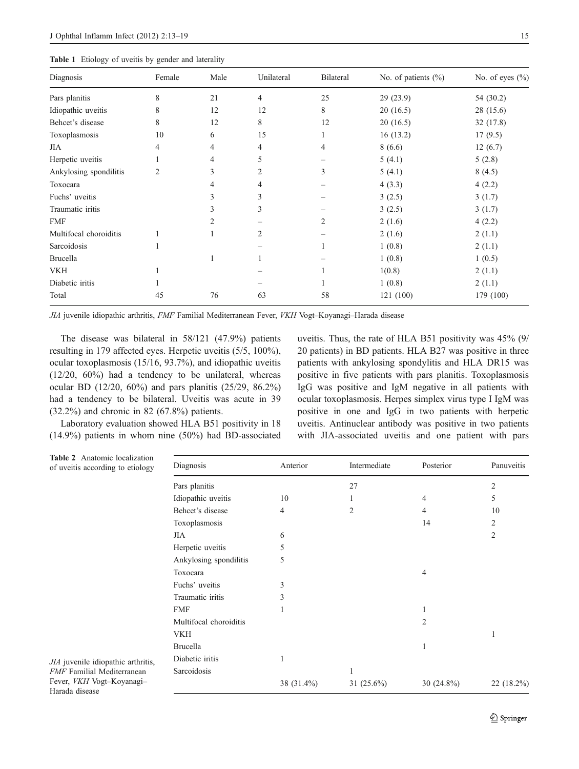<span id="page-2-0"></span>

| Diagnosis              | Female         | Male | Unilateral     | <b>Bilateral</b> | No. of patients $(\% )$ | No. of eyes $(\%$ |
|------------------------|----------------|------|----------------|------------------|-------------------------|-------------------|
| Pars planitis          | 8              | 21   | 4              | 25               | 29(23.9)                | 54 (30.2)         |
| Idiopathic uveitis     | 8              | 12   | 12             | 8                | 20(16.5)                | 28 (15.6)         |
| Behcet's disease       | 8              | 12   | 8              | 12               | 20(16.5)                | 32(17.8)          |
| Toxoplasmosis          | 10             | 6    | 15             |                  | 16(13.2)                | 17(9.5)           |
| JIA                    | 4              | 4    | 4              | 4                | 8(6.6)                  | 12(6.7)           |
| Herpetic uveitis       |                | 4    | 5              |                  | 5(4.1)                  | 5(2.8)            |
| Ankylosing spondilitis | $\overline{2}$ | 3    | $\overline{2}$ | 3                | 5(4.1)                  | 8(4.5)            |
| Toxocara               |                | 4    | 4              |                  | 4(3.3)                  | 4(2.2)            |
| Fuchs' uveitis         |                | 3    | 3              |                  | 3(2.5)                  | 3(1.7)            |
| Traumatic iritis       |                | 3    | 3              |                  | 3(2.5)                  | 3(1.7)            |
| <b>FMF</b>             |                | 2    |                | 2                | 2(1.6)                  | 4(2.2)            |
| Multifocal choroiditis |                |      | $\overline{2}$ |                  | 2(1.6)                  | 2(1.1)            |
| Sarcoidosis            |                |      |                |                  | 1(0.8)                  | 2(1.1)            |
| <b>Brucella</b>        |                | 1    |                |                  | 1(0.8)                  | 1(0.5)            |
| VKH                    |                |      |                |                  | 1(0.8)                  | 2(1.1)            |
| Diabetic iritis        |                |      |                |                  | 1(0.8)                  | 2(1.1)            |
| Total                  | 45             | 76   | 63             | 58               | 121 (100)               | 179 (100)         |

JIA juvenile idiopathic arthritis, FMF Familial Mediterranean Fever, VKH Vogt–Koyanagi–Harada disease

The disease was bilateral in 58/121 (47.9%) patients resulting in 179 affected eyes. Herpetic uveitis (5/5, 100%), ocular toxoplasmosis (15/16, 93.7%), and idiopathic uveitis (12/20, 60%) had a tendency to be unilateral, whereas ocular BD (12/20, 60%) and pars planitis (25/29, 86.2%) had a tendency to be bilateral. Uveitis was acute in 39 (32.2%) and chronic in 82 (67.8%) patients.

Laboratory evaluation showed HLA B51 positivity in 18 (14.9%) patients in whom nine (50%) had BD-associated uveitis. Thus, the rate of HLA B51 positivity was 45% (9/ 20 patients) in BD patients. HLA B27 was positive in three patients with ankylosing spondylitis and HLA DR15 was positive in five patients with pars planitis. Toxoplasmosis IgG was positive and IgM negative in all patients with ocular toxoplasmosis. Herpes simplex virus type I IgM was positive in one and IgG in two patients with herpetic uveitis. Antinuclear antibody was positive in two patients with JIA-associated uveitis and one patient with pars

| Table 2 Anatomic localization<br>of uveitis according to etiology       | Diagnosis              | Anterior   | Intermediate  | Posterior     | Panuveitis |
|-------------------------------------------------------------------------|------------------------|------------|---------------|---------------|------------|
|                                                                         | Pars planitis          |            | 27            |               | 2          |
|                                                                         | Idiopathic uveitis     | 10         |               | 4             | 5          |
|                                                                         | Behcet's disease       | 4          | 2             | 4             | 10         |
| JIA juvenile idiopathic arthritis,<br><b>FMF</b> Familial Mediterranean | Toxoplasmosis          |            |               | 14            | 2          |
|                                                                         | JIA                    | 6          |               |               | 2          |
|                                                                         | Herpetic uveitis       | 5          |               |               |            |
|                                                                         | Ankylosing spondilitis | 5          |               |               |            |
|                                                                         | Toxocara               |            |               | 4             |            |
|                                                                         | Fuchs' uveitis         | 3          |               |               |            |
|                                                                         | Traumatic iritis       | 3          |               |               |            |
|                                                                         | <b>FMF</b>             |            |               | 1             |            |
|                                                                         | Multifocal choroiditis |            |               | 2             |            |
|                                                                         | <b>VKH</b>             |            |               |               |            |
|                                                                         | <b>Brucella</b>        |            |               |               |            |
|                                                                         | Diabetic iritis        |            |               |               |            |
|                                                                         | Sarcoidosis            |            |               |               |            |
| Fever, VKH Vogt-Koyanagi-<br>Harada disease                             |                        | 38 (31.4%) | 31 $(25.6\%)$ | 30 $(24.8\%)$ | 22 (18.2%) |

 $JIA$  juvenile idiopathic arthri FMF Familial Mediterranean Fever, VKH Vogt–Koyanagi– Harada disease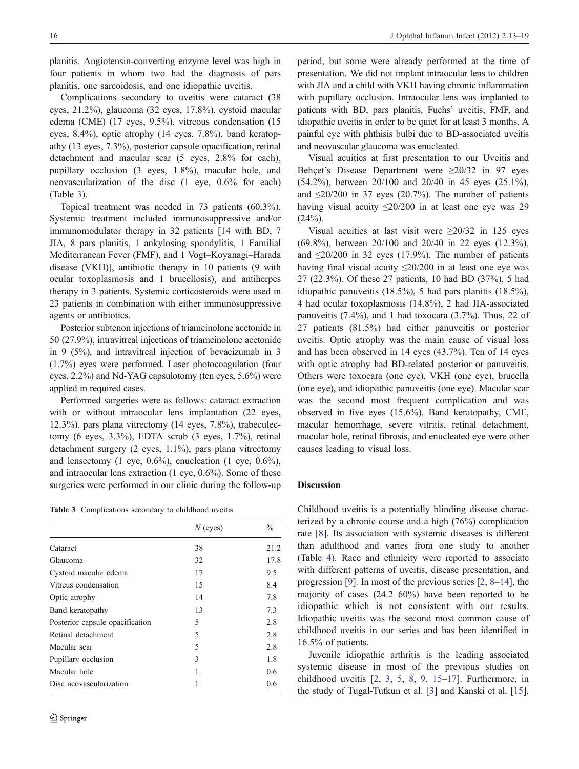planitis. Angiotensin-converting enzyme level was high in four patients in whom two had the diagnosis of pars planitis, one sarcoidosis, and one idiopathic uveitis.

Complications secondary to uveitis were cataract (38 eyes, 21.2%), glaucoma (32 eyes, 17.8%), cystoid macular edema (CME) (17 eyes, 9.5%), vitreous condensation (15 eyes, 8.4%), optic atrophy (14 eyes, 7.8%), band keratopathy (13 eyes, 7.3%), posterior capsule opacification, retinal detachment and macular scar (5 eyes, 2.8% for each), pupillary occlusion (3 eyes, 1.8%), macular hole, and neovascularization of the disc (1 eye, 0.6% for each) (Table 3).

Topical treatment was needed in 73 patients (60.3%). Systemic treatment included immunosuppressive and/or immunomodulator therapy in 32 patients [14 with BD, 7 JIA, 8 pars planitis, 1 ankylosing spondylitis, 1 Familial Mediterranean Fever (FMF), and 1 Vogt–Koyanagi–Harada disease (VKH)], antibiotic therapy in 10 patients (9 with ocular toxoplasmosis and 1 brucellosis), and antiherpes therapy in 3 patients. Systemic corticosteroids were used in 23 patients in combination with either immunosuppressive agents or antibiotics.

Posterior subtenon injections of triamcinolone acetonide in 50 (27.9%), intravitreal injections of triamcinolone acetonide in 9 (5%), and intravitreal injection of bevacizumab in 3 (1.7%) eyes were performed. Laser photocoagulation (four eyes, 2.2%) and Nd-YAG capsulotomy (ten eyes, 5.6%) were applied in required cases.

Performed surgeries were as follows: cataract extraction with or without intraocular lens implantation (22 eyes, 12.3%), pars plana vitrectomy (14 eyes, 7.8%), trabeculectomy (6 eyes, 3.3%), EDTA scrub (3 eyes, 1.7%), retinal detachment surgery (2 eyes, 1.1%), pars plana vitrectomy and lensectomy (1 eye,  $0.6\%$ ), enucleation (1 eye,  $0.6\%$ ), and intraocular lens extraction (1 eye, 0.6%). Some of these surgeries were performed in our clinic during the follow-up

Table 3 Complications secondary to childhood uveitis

|                                 | $N$ (eyes) | $\frac{0}{0}$ |
|---------------------------------|------------|---------------|
| Cataract                        | 38         | 21.2          |
| Glaucoma                        | 32         | 17.8          |
| Cystoid macular edema           | 17         | 9.5           |
| Vitreus condensation            | 15         | 8.4           |
| Optic atrophy                   | 14         | 7.8           |
| Band keratopathy                | 13         | 7.3           |
| Posterior capsule opacification | 5          | 2.8           |
| Retinal detachment              | 5          | 2.8           |
| Macular scar                    | 5          | 2.8           |
| Pupillary occlusion             | 3          | 1.8           |
| Macular hole                    | 1          | 0.6           |
| Disc neovascularization         | 1          | 0.6           |

period, but some were already performed at the time of presentation. We did not implant intraocular lens to children with JIA and a child with VKH having chronic inflammation with pupillary occlusion. Intraocular lens was implanted to patients with BD, pars planitis, Fuchs' uveitis, FMF, and idiopathic uveitis in order to be quiet for at least 3 months. A painful eye with phthisis bulbi due to BD-associated uveitis and neovascular glaucoma was enucleated.

Visual acuities at first presentation to our Uveitis and Behçet's Disease Department were  $\geq 20/32$  in 97 eyes (54.2%), between 20/100 and 20/40 in 45 eyes (25.1%), and  $\leq$ 20/200 in 37 eyes (20.7%). The number of patients having visual acuity  $\leq 20/200$  in at least one eye was 29  $(24%)$ .

Visual acuities at last visit were  $\geq 20/32$  in 125 eyes (69.8%), between 20/100 and 20/40 in 22 eyes (12.3%), and  $\leq$ 20/200 in 32 eyes (17.9%). The number of patients having final visual acuity  $\leq 20/200$  in at least one eye was 27 (22.3%). Of these 27 patients, 10 had BD (37%), 5 had idiopathic panuveitis (18.5%), 5 had pars planitis (18.5%), 4 had ocular toxoplasmosis (14.8%), 2 had JIA-associated panuveitis (7.4%), and 1 had toxocara (3.7%). Thus, 22 of 27 patients (81.5%) had either panuveitis or posterior uveitis. Optic atrophy was the main cause of visual loss and has been observed in 14 eyes (43.7%). Ten of 14 eyes with optic atrophy had BD-related posterior or panuveitis. Others were toxocara (one eye), VKH (one eye), brucella (one eye), and idiopathic panuveitis (one eye). Macular scar was the second most frequent complication and was observed in five eyes (15.6%). Band keratopathy, CME, macular hemorrhage, severe vitritis, retinal detachment, macular hole, retinal fibrosis, and enucleated eye were other causes leading to visual loss.

## Discussion

Childhood uveitis is a potentially blinding disease characterized by a chronic course and a high (76%) complication rate [[8\]](#page-5-0). Its association with systemic diseases is different than adulthood and varies from one study to another (Table [4](#page-4-0)). Race and ethnicity were reported to associate with different patterns of uveitis, disease presentation, and progression [\[9](#page-5-0)]. In most of the previous series [[2,](#page-5-0) [8](#page-5-0)–[14\]](#page-6-0), the majority of cases (24.2–60%) have been reported to be idiopathic which is not consistent with our results. Idiopathic uveitis was the second most common cause of childhood uveitis in our series and has been identified in 16.5% of patients.

Juvenile idiopathic arthritis is the leading associated systemic disease in most of the previous studies on childhood uveitis [[2,](#page-5-0) [3,](#page-5-0) [5,](#page-5-0) [8,](#page-5-0) [9,](#page-5-0) [15](#page-6-0)–[17\]](#page-6-0). Furthermore, in the study of Tugal-Tutkun et al. [[3\]](#page-5-0) and Kanski et al. [[15\]](#page-6-0),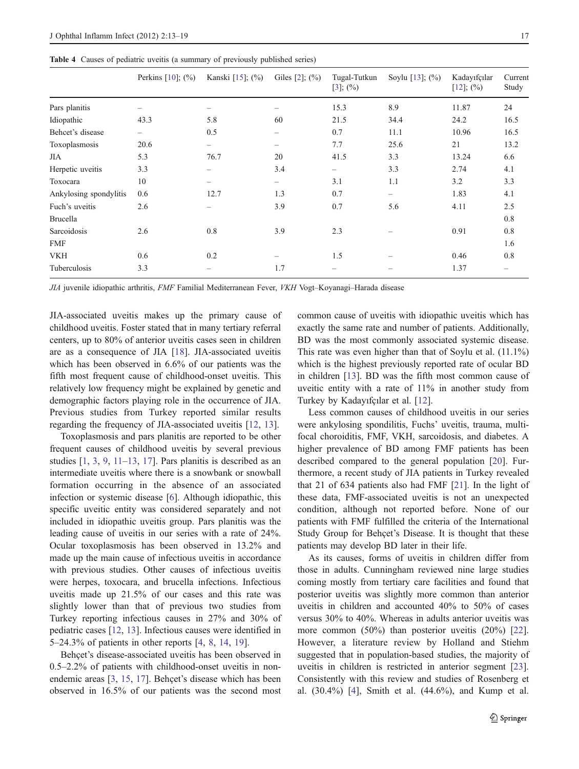<span id="page-4-0"></span>Table 4 Causes of pediatric uveitis (a summary of previously published series)

|                        | Perkins $[10]$ ; $(\% )$ | Kanski [15]; (%) | Giles $[2]$ ; $(\% )$ | Tugal-Tutkun<br>$[3]$ ; $(\%)$ | Soylu [13]; (%) | Kadayıfçılar<br>$[12]$ ; $(\%)$ | Current<br>Study |
|------------------------|--------------------------|------------------|-----------------------|--------------------------------|-----------------|---------------------------------|------------------|
| Pars planitis          |                          |                  | -                     | 15.3                           | 8.9             | 11.87                           | 24               |
| Idiopathic             | 43.3                     | 5.8              | 60                    | 21.5                           | 34.4            | 24.2                            | 16.5             |
| Behcet's disease       | -                        | 0.5              | -                     | 0.7                            | 11.1            | 10.96                           | 16.5             |
| Toxoplasmosis          | 20.6                     | $\qquad \qquad$  |                       | 7.7                            | 25.6            | 21                              | 13.2             |
| JIA                    | 5.3                      | 76.7             | 20                    | 41.5                           | 3.3             | 13.24                           | 6.6              |
| Herpetic uveitis       | 3.3                      |                  | 3.4                   | $\qquad \qquad -$              | 3.3             | 2.74                            | 4.1              |
| Toxocara               | 10                       |                  | -                     | 3.1                            | 1.1             | 3.2                             | 3.3              |
| Ankylosing spondylitis | 0.6                      | 12.7             | 1.3                   | 0.7                            | -               | 1.83                            | 4.1              |
| Fuch's uveitis         | 2.6                      |                  | 3.9                   | 0.7                            | 5.6             | 4.11                            | 2.5              |
| <b>Brucella</b>        |                          |                  |                       |                                |                 |                                 | 0.8              |
| Sarcoidosis            | 2.6                      | 0.8              | 3.9                   | 2.3                            |                 | 0.91                            | 0.8              |
| <b>FMF</b>             |                          |                  |                       |                                |                 |                                 | 1.6              |
| VKH                    | 0.6                      | 0.2              |                       | 1.5                            |                 | 0.46                            | $0.8\,$          |
| Tuberculosis           | 3.3                      |                  | 1.7                   | $\overline{\phantom{0}}$       |                 | 1.37                            |                  |

JIA juvenile idiopathic arthritis, FMF Familial Mediterranean Fever, VKH Vogt–Koyanagi–Harada disease

JIA-associated uveitis makes up the primary cause of childhood uveitis. Foster stated that in many tertiary referral centers, up to 80% of anterior uveitis cases seen in children are as a consequence of JIA [[18\]](#page-6-0). JIA-associated uveitis which has been observed in 6.6% of our patients was the fifth most frequent cause of childhood-onset uveitis. This relatively low frequency might be explained by genetic and demographic factors playing role in the occurrence of JIA. Previous studies from Turkey reported similar results regarding the frequency of JIA-associated uveitis [[12,](#page-5-0) [13\]](#page-6-0).

Toxoplasmosis and pars planitis are reported to be other frequent causes of childhood uveitis by several previous studies  $[1, 3, 9, 11-13, 17]$  $[1, 3, 9, 11-13, 17]$  $[1, 3, 9, 11-13, 17]$  $[1, 3, 9, 11-13, 17]$  $[1, 3, 9, 11-13, 17]$  $[1, 3, 9, 11-13, 17]$  $[1, 3, 9, 11-13, 17]$  $[1, 3, 9, 11-13, 17]$  $[1, 3, 9, 11-13, 17]$  $[1, 3, 9, 11-13, 17]$  $[1, 3, 9, 11-13, 17]$  $[1, 3, 9, 11-13, 17]$ . Pars planitis is described as an intermediate uveitis where there is a snowbank or snowball formation occurring in the absence of an associated infection or systemic disease [\[6](#page-5-0)]. Although idiopathic, this specific uveitic entity was considered separately and not included in idiopathic uveitis group. Pars planitis was the leading cause of uveitis in our series with a rate of 24%. Ocular toxoplasmosis has been observed in 13.2% and made up the main cause of infectious uveitis in accordance with previous studies. Other causes of infectious uveitis were herpes, toxocara, and brucella infections. Infectious uveitis made up 21.5% of our cases and this rate was slightly lower than that of previous two studies from Turkey reporting infectious causes in 27% and 30% of pediatric cases [[12,](#page-5-0) [13](#page-6-0)]. Infectious causes were identified in 5–24.3% of patients in other reports [[4,](#page-5-0) [8,](#page-5-0) [14](#page-6-0), [19](#page-6-0)].

Behçet's disease-associated uveitis has been observed in 0.5–2.2% of patients with childhood-onset uveitis in nonendemic areas [[3,](#page-5-0) [15](#page-6-0), [17\]](#page-6-0). Behçet's disease which has been observed in 16.5% of our patients was the second most common cause of uveitis with idiopathic uveitis which has exactly the same rate and number of patients. Additionally, BD was the most commonly associated systemic disease. This rate was even higher than that of Soylu et al. (11.1%) which is the highest previously reported rate of ocular BD in children [[13\]](#page-6-0). BD was the fifth most common cause of uveitic entity with a rate of 11% in another study from Turkey by Kadayıfçılar et al. [[12\]](#page-5-0).

Less common causes of childhood uveitis in our series were ankylosing spondilitis, Fuchs' uveitis, trauma, multifocal choroiditis, FMF, VKH, sarcoidosis, and diabetes. A higher prevalence of BD among FMF patients has been described compared to the general population [[20\]](#page-6-0). Furthermore, a recent study of JIA patients in Turkey revealed that 21 of 634 patients also had FMF [\[21](#page-6-0)]. In the light of these data, FMF-associated uveitis is not an unexpected condition, although not reported before. None of our patients with FMF fulfilled the criteria of the International Study Group for Behçet's Disease. It is thought that these patients may develop BD later in their life.

As its causes, forms of uveitis in children differ from those in adults. Cunningham reviewed nine large studies coming mostly from tertiary care facilities and found that posterior uveitis was slightly more common than anterior uveitis in children and accounted 40% to 50% of cases versus 30% to 40%. Whereas in adults anterior uveitis was more common (50%) than posterior uveitis (20%) [[22\]](#page-6-0). However, a literature review by Holland and Stiehm suggested that in population-based studies, the majority of uveitis in children is restricted in anterior segment [[23\]](#page-6-0). Consistently with this review and studies of Rosenberg et al. (30.4%) [\[4](#page-5-0)], Smith et al. (44.6%), and Kump et al.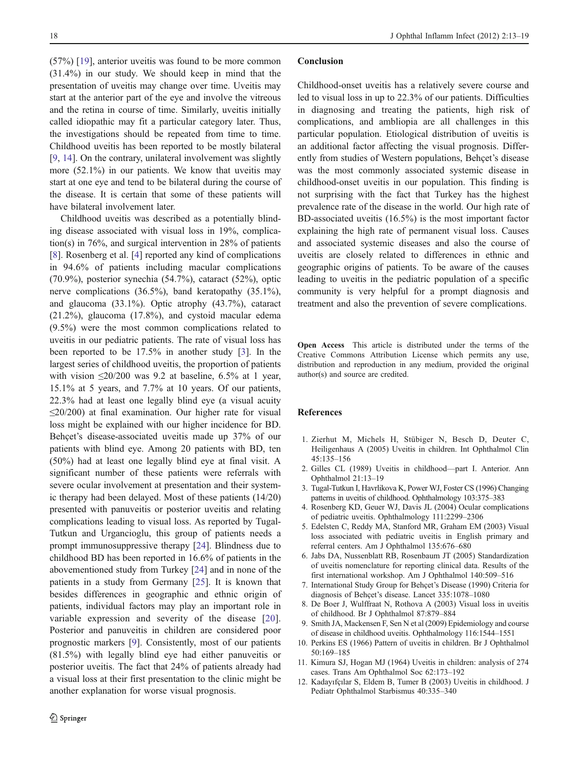<span id="page-5-0"></span>(57%) [[19\]](#page-6-0), anterior uveitis was found to be more common (31.4%) in our study. We should keep in mind that the presentation of uveitis may change over time. Uveitis may start at the anterior part of the eye and involve the vitreous and the retina in course of time. Similarly, uveitis initially called idiopathic may fit a particular category later. Thus, the investigations should be repeated from time to time. Childhood uveitis has been reported to be mostly bilateral [9, [14](#page-6-0)]. On the contrary, unilateral involvement was slightly more (52.1%) in our patients. We know that uveitis may start at one eye and tend to be bilateral during the course of the disease. It is certain that some of these patients will have bilateral involvement later.

Childhood uveitis was described as a potentially blinding disease associated with visual loss in 19%, complication(s) in 76%, and surgical intervention in 28% of patients [8]. Rosenberg et al. [4] reported any kind of complications in 94.6% of patients including macular complications (70.9%), posterior synechia (54.7%), cataract (52%), optic nerve complications (36.5%), band keratopathy (35.1%), and glaucoma (33.1%). Optic atrophy (43.7%), cataract (21.2%), glaucoma (17.8%), and cystoid macular edema (9.5%) were the most common complications related to uveitis in our pediatric patients. The rate of visual loss has been reported to be 17.5% in another study [3]. In the largest series of childhood uveitis, the proportion of patients with vision  $\leq 20/200$  was 9.2 at baseline, 6.5% at 1 year, 15.1% at 5 years, and 7.7% at 10 years. Of our patients, 22.3% had at least one legally blind eye (a visual acuity ≤20/200) at final examination. Our higher rate for visual loss might be explained with our higher incidence for BD. Behçet's disease-associated uveitis made up 37% of our patients with blind eye. Among 20 patients with BD, ten (50%) had at least one legally blind eye at final visit. A significant number of these patients were referrals with severe ocular involvement at presentation and their systemic therapy had been delayed. Most of these patients (14/20) presented with panuveitis or posterior uveitis and relating complications leading to visual loss. As reported by Tugal-Tutkun and Urgancioglu, this group of patients needs a prompt immunosuppressive therapy [[24\]](#page-6-0). Blindness due to childhood BD has been reported in 16.6% of patients in the abovementioned study from Turkey [\[24](#page-6-0)] and in none of the patients in a study from Germany [\[25](#page-6-0)]. It is known that besides differences in geographic and ethnic origin of patients, individual factors may play an important role in variable expression and severity of the disease [[20](#page-6-0)]. Posterior and panuveitis in children are considered poor prognostic markers [9]. Consistently, most of our patients (81.5%) with legally blind eye had either panuveitis or posterior uveitis. The fact that 24% of patients already had a visual loss at their first presentation to the clinic might be another explanation for worse visual prognosis.

#### Conclusion

Childhood-onset uveitis has a relatively severe course and led to visual loss in up to 22.3% of our patients. Difficulties in diagnosing and treating the patients, high risk of complications, and ambliopia are all challenges in this particular population. Etiological distribution of uveitis is an additional factor affecting the visual prognosis. Differently from studies of Western populations, Behçet's disease was the most commonly associated systemic disease in childhood-onset uveitis in our population. This finding is not surprising with the fact that Turkey has the highest prevalence rate of the disease in the world. Our high rate of BD-associated uveitis (16.5%) is the most important factor explaining the high rate of permanent visual loss. Causes and associated systemic diseases and also the course of uveitis are closely related to differences in ethnic and geographic origins of patients. To be aware of the causes leading to uveitis in the pediatric population of a specific community is very helpful for a prompt diagnosis and treatment and also the prevention of severe complications.

Open Access This article is distributed under the terms of the Creative Commons Attribution License which permits any use, distribution and reproduction in any medium, provided the original author(s) and source are credited.

#### References

- 1. Zierhut M, Michels H, Stübiger N, Besch D, Deuter C, Heiligenhaus A (2005) Uveitis in children. Int Ophthalmol Clin 45:135–156
- 2. Gilles CL (1989) Uveitis in childhood—part I. Anterior. Ann Ophthalmol 21:13–19
- 3. Tugal-Tutkun I, Havrlikova K, Power WJ, Foster CS (1996) Changing patterns in uveitis of childhood. Ophthalmology 103:375–383
- 4. Rosenberg KD, Geuer WJ, Davis JL (2004) Ocular complications of pediatric uveitis. Ophthalmology 111:2299–2306
- 5. Edelsten C, Reddy MA, Stanford MR, Graham EM (2003) Visual loss associated with pediatric uveitis in English primary and referral centers. Am J Ophthalmol 135:676–680
- 6. Jabs DA, Nussenblatt RB, Rosenbaum JT (2005) Standardization of uveitis nomenclature for reporting clinical data. Results of the first international workshop. Am J Ophthalmol 140:509–516
- 7. International Study Group for Behçet's Disease (1990) Criteria for diagnosis of Behçet's disease. Lancet 335:1078–1080
- 8. De Boer J, Wulffraat N, Rothova A (2003) Visual loss in uveitis of childhood. Br J Ophthalmol 87:879–884
- 9. Smith JA, Mackensen F, Sen N et al (2009) Epidemiology and course of disease in childhood uveitis. Ophthalmology 116:1544–1551
- 10. Perkins ES (1966) Pattern of uveitis in children. Br J Ophthalmol 50:169–185
- 11. Kimura SJ, Hogan MJ (1964) Uveitis in children: analysis of 274 cases. Trans Am Ophthalmol Soc 62:173–192
- 12. Kadayıfçılar S, Eldem B, Tumer B (2003) Uveitis in childhood. J Pediatr Ophthalmol Starbismus 40:335–340